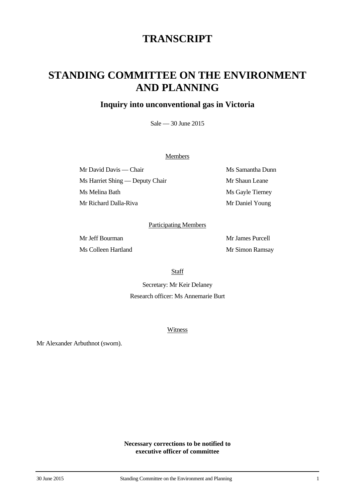## **TRANSCRIPT**

# **STANDING COMMITTEE ON THE ENVIRONMENT AND PLANNING**

### **Inquiry into unconventional gas in Victoria**

Sale — 30 June 2015

#### Members

Mr David Davis — Chair Ms Samantha Dunn Ms Harriet Shing — Deputy Chair Mr Shaun Leane Ms Melina Bath Ms Gayle Tierney Mr Richard Dalla-Riva Mr Daniel Young

#### Participating Members

Mr Jeff Bourman Mr James Purcell Ms Colleen Hartland Mr Simon Ramsay

**Staff** 

Secretary: Mr Keir Delaney Research officer: Ms Annemarie Burt

Witness

Mr Alexander Arbuthnot (sworn).

**Necessary corrections to be notified to executive officer of committee**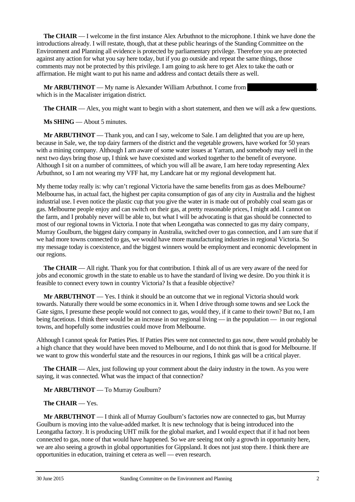**The CHAIR** — I welcome in the first instance Alex Arbuthnot to the microphone. I think we have done the introductions already. I will restate, though, that at these public hearings of the Standing Committee on the Environment and Planning all evidence is protected by parliamentary privilege. Therefore you are protected against any action for what you say here today, but if you go outside and repeat the same things, those comments may not be protected by this privilege. I am going to ask here to get Alex to take the oath or affirmation. He might want to put his name and address and contact details there as well.

**Mr ARBUTHNOT** — My name is Alexander William Arbuthnot. I come from which is in the Macalister irrigation district.

**The CHAIR** — Alex, you might want to begin with a short statement, and then we will ask a few questions.

**Ms SHING** — About 5 minutes.

**Mr ARBUTHNOT** — Thank you, and can I say, welcome to Sale. I am delighted that you are up here, because in Sale, we, the top dairy farmers of the district and the vegetable growers, have worked for 50 years with a mining company. Although I am aware of some water issues at Yarram, and somebody may well in the next two days bring those up, I think we have coexisted and worked together to the benefit of everyone. Although I sit on a number of committees, of which you will all be aware, I am here today representing Alex Arbuthnot, so I am not wearing my VFF hat, my Landcare hat or my regional development hat.

My theme today really is: why can't regional Victoria have the same benefits from gas as does Melbourne? Melbourne has, in actual fact, the highest per capita consumption of gas of any city in Australia and the highest industrial use. I even notice the plastic cup that you give the water in is made out of probably coal seam gas or gas. Melbourne people enjoy and can switch on their gas, at pretty reasonable prices, I might add. I cannot on the farm, and I probably never will be able to, but what I will be advocating is that gas should be connected to most of our regional towns in Victoria. I note that when Leongatha was connected to gas my dairy company, Murray Goulburn, the biggest dairy company in Australia, switched over to gas connection, and I am sure that if we had more towns connected to gas, we would have more manufacturing industries in regional Victoria. So my message today is coexistence, and the biggest winners would be employment and economic development in our regions.

**The CHAIR** — All right. Thank you for that contribution. I think all of us are very aware of the need for jobs and economic growth in the state to enable us to have the standard of living we desire. Do you think it is feasible to connect every town in country Victoria? Is that a feasible objective?

**Mr ARBUTHNOT** — Yes. I think it should be an outcome that we in regional Victoria should work towards. Naturally there would be some economics in it. When I drive through some towns and see Lock the Gate signs, I presume these people would not connect to gas, would they, if it came to their town? But no, I am being facetious. I think there would be an increase in our regional living — in the population — in our regional towns, and hopefully some industries could move from Melbourne.

Although I cannot speak for Patties Pies. If Patties Pies were not connected to gas now, there would probably be a high chance that they would have been moved to Melbourne, and I do not think that is good for Melbourne. If we want to grow this wonderful state and the resources in our regions, I think gas will be a critical player.

**The CHAIR** — Alex, just following up your comment about the dairy industry in the town. As you were saying, it was connected. What was the impact of that connection?

**Mr ARBUTHNOT** — To Murray Goulburn?

#### **The CHAIR** — Yes.

**Mr ARBUTHNOT** — I think all of Murray Goulburn's factories now are connected to gas, but Murray Goulburn is moving into the value-added market. It is new technology that is being introduced into the Leongatha factory. It is producing UHT milk for the global market, and I would expect that if it had not been connected to gas, none of that would have happened. So we are seeing not only a growth in opportunity here, we are also seeing a growth in global opportunities for Gippsland. It does not just stop there. I think there are opportunities in education, training et cetera as well — even research.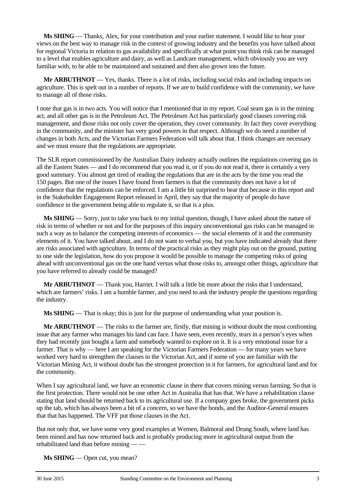**Ms SHING** — Thanks, Alex, for your contribution and your earlier statement. I would like to hear your views on the best way to manage risk in the context of growing industry and the benefits you have talked about for regional Victoria in relation to gas availability and specifically at what point you think risk can be managed to a level that enables agriculture and dairy, as well as Landcare management, which obviously you are very familiar with, to be able to be maintained and sustained and then also grown into the future.

**Mr ARBUTHNOT** — Yes, thanks. There is a lot of risks, including social risks and including impacts on agriculture. This is spelt out in a number of reports. If we are to build confidence with the community, we have to manage all of those risks.

I note that gas is in two acts. You will notice that I mentioned that in my report. Coal seam gas is in the mining act, and all other gas is in the Petroleum Act. The Petroleum Act has particularly good clauses covering risk management, and those risks not only cover the operation, they cover community. In fact they cover everything in the community, and the minister has very good powers in that respect. Although we do need a number of changes in both Acts, and the Victorian Farmers Federation will talk about that. I think changes are necessary and we must ensure that the regulations are appropriate.

The SLR report commissioned by the Australian Dairy industry actually outlines the regulations covering gas in all the Eastern States — and I do recommend that you read it, or if you do not read it, there is certainly a very good summary. You almost get tired of reading the regulations that are in the acts by the time you read the 150 pages. But one of the issues I have found from farmers is that the community does not have a lot of confidence that the regulations can be enforced. I am a little bit surprised to hear that because in this report and in the Stakeholder Engagement Report released in April, they say that the majority of people do have confidence in the government being able to regulate it, so that is a plus.

**Ms SHING** — Sorry, just to take you back to my initial question, though, I have asked about the nature of risk in terms of whether or not and for the purposes of this inquiry unconventional gas risks can be managed in such a way as to balance the competing interests of economics — the social elements of it and the community elements of it. You have talked about, and I do not want to verbal you, but you have indicated already that there are risks associated with agriculture. In terms of the practical risks as they might play out on the ground, putting to one side the legislation, how do you propose it would be possible to manage the competing risks of going ahead with unconventional gas on the one hand versus what those risks to, amongst other things, agriculture that you have referred to already could be managed?

**Mr ARBUTHNOT** — Thank you, Harriet. I will talk a little bit more about the risks that I understand, which are farmers' risks. I am a humble farmer, and you need to ask the industry people the questions regarding the industry.

**Ms SHING** — That is okay; this is just for the purpose of understanding what your position is.

**Mr ARBUTHNOT** — The risks to the farmer are, firstly, that mining is without doubt the most confronting issue that any farmer who manages his land can face. I have seen, even recently, tears in a person's eyes when they had recently just bought a farm and somebody wanted to explore on it. It is a very emotional issue for a farmer. That is why — here I am speaking for the Victorian Farmers Federation — for many years we have worked very hard to strengthen the clauses in the Victorian Act, and if some of you are familiar with the Victorian Mining Act, it without doubt has the strongest protection in it for farmers, for agricultural land and for the community.

When I say agricultural land, we have an economic clause in there that covers mining versus farming. So that is the first protection. There would not be one other Act in Australia that has that. We have a rehabilitation clause stating that land should be returned back to its agricultural use. If a company goes broke, the government picks up the tab, which has always been a bit of a concern, so we have the bonds, and the Auditor-General ensures that that has happened. The VFF put those clauses in the Act.

But not only that, we have some very good examples at Wemen, Balmoral and Drung South, where land has been mined and has now returned back and is probably producing more in agricultural output from the rehabilitated land than before mining — —

**Ms SHING** — Open cut, you mean?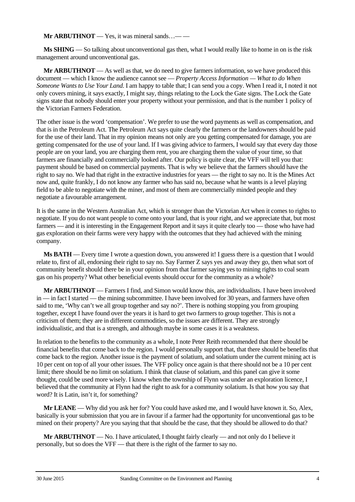**Mr ARBUTHNOT** — Yes, it was mineral sands...——

**Ms SHING** — So talking about unconventional gas then, what I would really like to home in on is the risk management around unconventional gas.

**Mr ARBUTHNOT** — As well as that, we do need to give farmers information, so we have produced this document — which I know the audience cannot see — *Property Access Information — What to do When Someone Wants to Use Your Land*. I am happy to table that; I can send you a copy. When I read it, I noted it not only covers mining, it says exactly, I might say, things relating to the Lock the Gate signs. The Lock the Gate signs state that nobody should enter your property without your permission, and that is the number 1 policy of the Victorian Farmers Federation.

The other issue is the word 'compensation'. We prefer to use the word payments as well as compensation, and that is in the Petroleum Act. The Petroleum Act says quite clearly the farmers or the landowners should be paid for the use of their land. That in my opinion means not only are you getting compensated for damage, you are getting compensated for the use of your land. If I was giving advice to farmers, I would say that every day those people are on your land, you are charging them rent, you are charging them the value of your time, so that farmers are financially and commercially looked after. Our policy is quite clear, the VFF will tell you that: payment should be based on commercial payments. That is why we believe that the farmers should have the right to say no. We had that right in the extractive industries for years — the right to say no. It is the Mines Act now and, quite frankly, I do not know any farmer who has said no, because what he wants is a level playing field to be able to negotiate with the miner, and most of them are commercially minded people and they negotiate a favourable arrangement.

It is the same in the Western Australian Act, which is stronger than the Victorian Act when it comes to rights to negotiate. If you do not want people to come onto your land, that is your right, and we appreciate that, but most farmers — and it is interesting in the Engagement Report and it says it quite clearly too — those who have had gas exploration on their farms were very happy with the outcomes that they had achieved with the mining company.

**Ms BATH** — Every time I wrote a question down, you answered it! I guess there is a question that I would relate to, first of all, endorsing their right to say no. Say Farmer Z says yes and away they go, then what sort of community benefit should there be in your opinion from that farmer saying yes to mining rights to coal seam gas on his property? What other beneficial events should occur for the community as a whole?

**Mr ARBUTHNOT** — Farmers I find, and Simon would know this, are individualists. I have been involved in — in fact I started — the mining subcommittee. I have been involved for 30 years, and farmers have often said to me, 'Why can't we all group together and say no?'. There is nothing stopping you from grouping together, except I have found over the years it is hard to get two farmers to group together. This is not a criticism of them; they are in different commodities, so the issues are different. They are strongly individualistic, and that is a strength, and although maybe in some cases it is a weakness.

In relation to the benefits to the community as a whole, I note Peter Reith recommended that there should be financial benefits that come back to the region. I would personally support that, that there should be benefits that come back to the region. Another issue is the payment of solatium, and solatium under the current mining act is 10 per cent on top of all your other issues. The VFF policy once again is that there should not be a 10 per cent limit; there should be no limit on solatium. I think that clause of solatium, and this panel can give it some thought, could be used more wisely. I know when the township of Flynn was under an exploration licence, I believed that the community at Flynn had the right to ask for a community solatium. Is that how you say that word? It is Latin, isn't it, for something?

**Mr LEANE** — Why did you ask her for? You could have asked me, and I would have known it. So, Alex, basically is your submission that you are in favour if a farmer had the opportunity for unconventional gas to be mined on their property? Are you saying that that should be the case, that they should be allowed to do that?

**Mr ARBUTHNOT** — No. I have articulated, I thought fairly clearly — and not only do I believe it personally, but so does the VFF — that there is the right of the farmer to say no.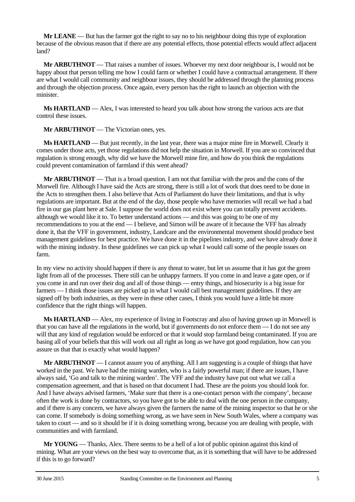**Mr LEANE** — But has the farmer got the right to say no to his neighbour doing this type of exploration because of the obvious reason that if there are any potential effects, those potential effects would affect adjacent land?

**Mr ARBUTHNOT** — That raises a number of issues. Whoever my next door neighbour is, I would not be happy about that person telling me how I could farm or whether I could have a contractual arrangement. If there are what I would call community and neighbour issues, they should be addressed through the planning process and through the objection process. Once again, every person has the right to launch an objection with the minister.

**Ms HARTLAND** — Alex, I was interested to heard you talk about how strong the various acts are that control these issues.

**Mr ARBUTHNOT** — The Victorian ones, yes.

**Ms HARTLAND** — But just recently, in the last year, there was a major mine fire in Morwell. Clearly it comes under those acts, yet those regulations did not help the situation in Morwell. If you are so convinced that regulation is strong enough, why did we have the Morwell mine fire, and how do you think the regulations could prevent contamination of farmland if this went ahead?

**Mr ARBUTHNOT** — That is a broad question. I am not that familiar with the pros and the cons of the Morwell fire. Although I have said the Acts are strong, there is still a lot of work that does need to be done in the Acts to strengthen them. I also believe that Acts of Parliament do have their limitations, and that is why regulations are important. But at the end of the day, those people who have memories will recall we had a bad fire in our gas plant here at Sale. I suppose the world does not exist where you can totally prevent accidents. although we would like it to. To better understand actions — and this was going to be one of my recommendations to you at the end — I believe, and Simon will be aware of it because the VFF has already done it, that the VFF in government, industry, Landcare and the environmental movement should produce best management guidelines for best practice. We have done it in the pipelines industry, and we have already done it with the mining industry. In these guidelines we can pick up what I would call some of the people issues on farm.

In my view no activity should happen if there is any threat to water, but let us assume that it has got the green light from all of the processes. There still can be unhappy farmers. If you come in and leave a gate open, or if you come in and run over their dog and all of those things — entry things, and biosecurity is a big issue for farmers — I think those issues are picked up in what I would call best management guidelines. If they are signed off by both industries, as they were in these other cases, I think you would have a little bit more confidence that the right things will happen.

**Ms HARTLAND** — Alex, my experience of living in Footscray and also of having grown up in Morwell is that you can have all the regulations in the world, but if governments do not enforce them — I do not see any will that any kind of regulation would be enforced or that it would stop farmland being contaminated. If you are basing all of your beliefs that this will work out all right as long as we have got good regulation, how can you assure us that that is exactly what would happen?

**Mr ARBUTHNOT** — I cannot assure you of anything. All I am suggesting is a couple of things that have worked in the past. We have had the mining warden, who is a fairly powerful man; if there are issues, I have always said, 'Go and talk to the mining warden'. The VFF and the industry have put out what we call a compensation agreement, and that is based on that document I had. These are the points you should look for. And I have always advised farmers, 'Make sure that there is a one-contact person with the company', because often the work is done by contractors, so you have got to be able to deal with the one person in the company, and if there is any concern, we have always given the farmers the name of the mining inspector so that he or she can come. If somebody is doing something wrong, as we have seen in New South Wales, where a company was taken to court — and so it should be if it is doing something wrong, because you are dealing with people, with communities and with farmland.

**Mr YOUNG** — Thanks, Alex. There seems to be a hell of a lot of public opinion against this kind of mining. What are your views on the best way to overcome that, as it is something that will have to be addressed if this is to go forward?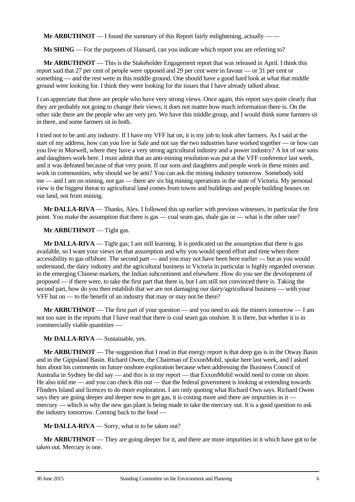**Mr ARBUTHNOT** — I found the summary of this Report fairly enlightening, actually — —

**Ms SHING** — For the purposes of Hansard, can you indicate which report you are referring to?

**Mr ARBUTHNOT** — This is the Stakeholder Engagement report that was released in April. I think this report said that 27 per cent of people were opposed and 29 per cent were in favour — or 31 per cent or something — and the rest were in this middle ground. One should have a good hard look at what that middle ground were looking for. I think they were looking for the issues that I have already talked about.

I can appreciate that there are people who have very strong views. Once again, this report says quite clearly that they are probably not going to change their views; it does not matter how much information there is. On the other side there are the people who are very pro. We have this middle group, and I would think some farmers sit in there, and some farmers sit in both.

I tried not to be anti any industry. If I have my VFF hat on, it is my job to look after farmers. As I said at the start of my address, how can you live in Sale and not say the two industries have worked together — or how can you live in Morwell, where they have a very strong agricultural industry and a power industry? A lot of our sons and daughters work here. I must admit that an anti-mining resolution was put at the VFF conference last week, and it was defeated because of that very point. If our sons and daughters and people work in these mines and work in communities, why should we be anti? You can ask the mining industry tomorrow. Somebody told me — and I am on mining, not gas — there are six big mining operations in the state of Victoria. My personal view is the biggest threat to agricultural land comes from towns and buildings and people building houses on our land, not from mining.

**Mr DALLA-RIVA** — Thanks, Alex. I followed this up earlier with previous witnesses, in particular the first point. You make the assumption that there is gas — coal seam gas, shale gas or — what is the other one?

**Mr ARBUTHNOT** — Tight gas.

**Mr DALLA-RIVA** — Tight gas; I am still learning. It is predicated on the assumption that there is gas available, so I want your views on that assumption and why you would spend effort and time when there accessibility to gas offshore. The second part — and you may not have been here earlier — but as you would understand, the dairy industry and the agricultural business in Victoria in particular is highly regarded overseas in the emerging Chinese markets, the Indian subcontinent and elsewhere. How do you see the development of proposed — if there were, to take the first part that there is, but I am still not convinced there is. Taking the second part, how do you then establish that we are not damaging our dairy/agricultural business — with your VFF hat on — to the benefit of an industry that may or may not be there?

**Mr ARBUTHNOT** — The first part of your question — and you need to ask the miners tomorrow — I am not too sure in the reports that I have read that there is coal seam gas onshore. It is there, but whether it is in commercially viable quantities —

**Mr DALLA-RIVA** — Sustainable, yes.

**Mr ARBUTHNOT** — The suggestion that I read in that energy report is that deep gas is in the Otway Basin and in the Gippsland Basin. Richard Owen, the Chairman of ExxonMobil, spoke here last week, and I asked him about his comments on future onshore exploration because when addressing the Business Council of Australia in Sydney he did say — and this is in my report — that ExxonMobil would need to come on shore. He also told me — and you can check this out — that the federal government is looking at extending towards Flinders Island and licences to do more exploration. I am only quoting what Richard Own says. Richard Owen says they are going deeper and deeper now to get gas, it is costing more and there are impurities in it mercury — which is why the new gas plant is being made to take the mercury out. It is a good question to ask the industry tomorrow. Coming back to the food —

**Mr DALLA-RIVA** — Sorry, what is to be taken out?

**Mr ARBUTHNOT** — They are going deeper for it, and there are more impurities in it which have got to be taken out. Mercury is one.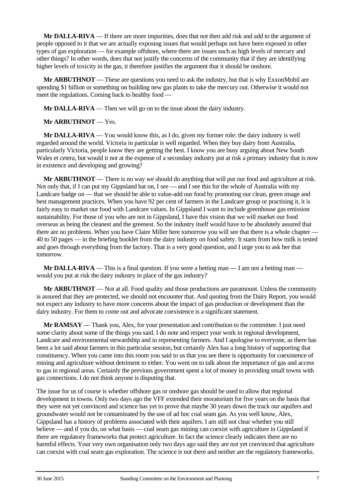**Mr DALLA-RIVA** — If there are more impurities, does that not then add risk and add to the argument of people opposed to it that we are actually exposing issues that would perhaps not have been exposed in other types of gas exploration — for example offshore, where there are issues such as high levels of mercury and other things? In other words, does that not justify the concerns of the community that if they are identifying higher levels of toxicity in the gas, it therefore justifies the argument that it should be onshore.

**Mr ARBUTHNOT** — These are questions you need to ask the industry, but that is why ExxonMobil are spending \$1 billion or something on building new gas plants to take the mercury out. Otherwise it would not meet the regulations. Coming back to healthy food —

**Mr DALLA-RIVA** — Then we will go on to the issue about the dairy industry.

**Mr ARBUTHNOT** — Yes.

**Mr DALLA-RIVA** — You would know this, as I do, given my former role: the dairy industry is well regarded around the world. Victoria in particular is well regarded. When they buy dairy from Australia, particularly Victoria, people know they are getting the best. I know you are busy arguing about New South Wales et cetera, but would it not at the expense of a secondary industry put at risk a primary industry that is now in existence and developing and growing?

**Mr ARBUTHNOT** — There is no way we should do anything that will put our food and agriculture at risk. Not only that, if I can put my Gippsland hat on, I see — and I see this for the whole of Australia with my Landcare badge on — that we should be able to value-add our food by promoting our clean, green image and best management practices. When you have 92 per cent of farmers in the Landcare group or practising it, it is fairly easy to market our food with Landcare values. In Gippsland I want to include greenhouse gas emission sustainability. For those of you who are not in Gippsland, I have this vision that we will market our food overseas as being the cleanest and the greenest. So the industry itself would have to be absolutely assured that there are no problems. When you have Claire Miller here tomorrow you will see that there is a whole chapter — 40 to 50 pages — in the briefing booklet from the dairy industry on food safety. It starts from how milk is tested and goes through everything from the factory. That is a very good question, and I urge you to ask her that tomorrow.

**Mr DALLA-RIVA** — This is a final question. If you were a betting man — I am not a betting man would you put at risk the dairy industry in place of the gas industry?

**Mr ARBUTHNOT** — Not at all. Food quality and those productions are paramount. Unless the community is assured that they are protected, we should not encounter that. And quoting from the Dairy Report, you would not expect any industry to have more concerns about the impact of gas production or development than the dairy industry. For them to come out and advocate coexistence is a significant statement.

**Mr RAMSAY** — Thank you, Alex, for your presentation and contribution to the committee. I just need some clarity about some of the things you said. I do note and respect your work in regional development, Landcare and environmental stewardship and in representing farmers. And I apologise to everyone, as there has been a lot said about farmers in this particular session, but certainly Alex has a long history of supporting that constituency. When you came into this room you said to us that you see there is opportunity for coexistence of mining and agriculture without detriment to either. You went on to talk about the importance of gas and access to gas in regional areas. Certainly the previous government spent a lot of money in providing small towns with gas connections. I do not think anyone is disputing that.

The issue for us of course is whether offshore gas or onshore gas should be used to allow that regional development in towns. Only two days ago the VFF extended their moratorium for five years on the basis that they were not yet convinced and science has yet to prove that maybe 30 years down the track our aquifers and groundwater would not be contaminated by the use of ad hoc coal seam gas. As you well know, Alex, Gippsland has a history of problems associated with their aquifers. I am still not clear whether you still believe — and if you do, on what basis — coal seam gas mining can coexist with agriculture in Gippsland if there are regulatory frameworks that protect agriculture. In fact the science clearly indicates there are no harmful effects. Your very own organisation only two days ago said they are not yet convinced that agriculture can coexist with coal seam gas exploration. The science is not there and neither are the regulatory frameworks.